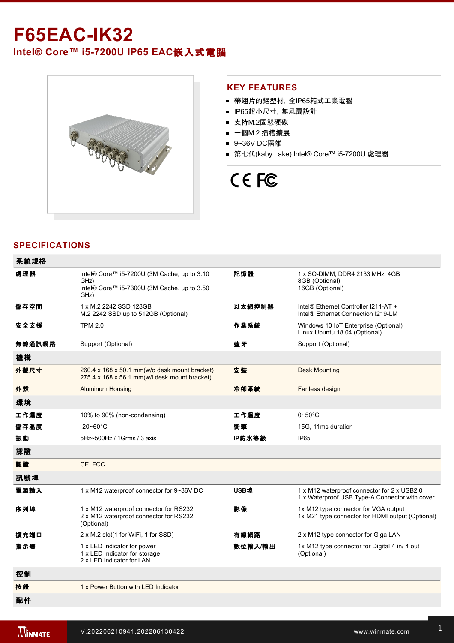## **F65EAC-IK32**

## **Intel® Core™ i57200U IP65 EAC**嵌入式電腦



### **KEY FEATURES**

- 帶翅片的鋁型材, 全IP65箱式工業電腦
- IP65超小尺寸, 無風扇設計
- 支持M.2固態硬碟
- 一個M.2 插槽擴展
- 9~36V DC隔離
- 第七代(kaby Lake) Intel® Core™ i5-7200U 處理器

# CE FC

### **SPECIFICATIONS**

| 系統規格   |                                                                                                            |         |                                                                                               |
|--------|------------------------------------------------------------------------------------------------------------|---------|-----------------------------------------------------------------------------------------------|
| 處理器    | Intel® Core™ i5-7200U (3M Cache, up to 3.10<br>GHz)<br>Intel® Core™ i5-7300U (3M Cache, up to 3.50<br>GHz) | 記憶體     | 1 x SO-DIMM, DDR4 2133 MHz, 4GB<br>8GB (Optional)<br>16GB (Optional)                          |
| 儲存空間   | 1 x M.2 2242 SSD 128GB<br>M.2 2242 SSD up to 512GB (Optional)                                              | 以太網控制器  | Intel® Ethernet Controller I211-AT +<br>Intel® Ethernet Connection I219-LM                    |
| 安全支援   | <b>TPM 2.0</b>                                                                                             | 作業系統    | Windows 10 IoT Enterprise (Optional)<br>Linux Ubuntu 18.04 (Optional)                         |
| 無線通訊網路 | Support (Optional)                                                                                         | 藍牙      | Support (Optional)                                                                            |
| 機構     |                                                                                                            |         |                                                                                               |
| 外觀尺寸   | 260.4 x 168 x 50.1 mm(w/o desk mount bracket)<br>275.4 x 168 x 56.1 mm(w/i desk mount bracket)             | 安装      | <b>Desk Mounting</b>                                                                          |
| 外殼     | <b>Aluminum Housing</b>                                                                                    | 冷卻系統    | Fanless design                                                                                |
| 環境     |                                                                                                            |         |                                                                                               |
| 工作濕度   | 10% to 90% (non-condensing)                                                                                | 工作溫度    | $0\neg 50^\circ C$                                                                            |
| 儲存溫度   | $-20 - 60^{\circ}$ C                                                                                       | 衝聲      | 15G, 11ms duration                                                                            |
| 振動     | 5Hz~500Hz / 1Grms / 3 axis                                                                                 | IP防水等級  | IP <sub>65</sub>                                                                              |
| 認證     |                                                                                                            |         |                                                                                               |
| 認證     | CE, FCC                                                                                                    |         |                                                                                               |
| 訊號埠    |                                                                                                            |         |                                                                                               |
| 電源輸入   | 1 x M12 waterproof connector for 9~36V DC                                                                  | USB埠    | 1 x M12 waterproof connector for 2 x USB2.0<br>1 x Waterproof USB Type-A Connector with cover |
| 序列埠    | 1 x M12 waterproof connector for RS232<br>2 x M12 waterproof connector for RS232<br>(Optional)             | 影像      | 1x M12 type connector for VGA output<br>1x M21 type connector for HDMI output (Optional)      |
| 擴充端口   | 2 x M.2 slot(1 for WiFi, 1 for SSD)                                                                        | 有線網路    | 2 x M12 type connector for Giga LAN                                                           |
| 指示燈    | 1 x LED Indicator for power<br>1 x LED Indicator for storage<br>2 x LED Indicator for LAN                  | 數位輸入/輸出 | 1x M12 type connector for Digital 4 in/ 4 out<br>(Optional)                                   |
| 控制     |                                                                                                            |         |                                                                                               |
| 按鈕     | 1 x Power Button with LED Indicator                                                                        |         |                                                                                               |
| 配件     |                                                                                                            |         |                                                                                               |

External LAN cable with waterproof connector

connector (Optional)

(Optional)